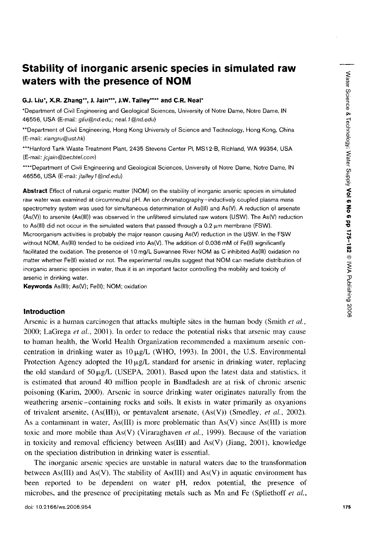# **Stability of inorganic arsenic species in simulated raw waters with the presence of NOM**

# G.J. Liu\*, X.R. Zhang\*\*, J. Jain\*\*\*, J.W. Talley\*\*\*\* and C.R. Neal\*

\*Department of Civil Engineering and Geological Sciences, University of Notre Dame, Notre Dame, IN 46556, USA (E-mail: gliu@nd.edu; neal. 1@nd.edu)

'\*Department of Civil Engineering, Hong Kong University of Science and Technology, Hong Kong, China (E-mail: xiangru@ust.hk)

\*\*\*Hanford Tank Waste Treatment Plant, 2435 Stevens Center PI, MS12-B, Richland, WA 99354, USA (E-mail: jcjain@bechtel.com)

\*\*\*\*Department of Civil Engineering and Geological Sciences, University of Notre Dame, Notre Dame, IN 46556, USA (E-mail: jtalley1@nd.edu)

Abstract Effect of natural organic matter (NOM) on the stability of inorganic arsenic species in simulated raw water was examined at circumneutral pH. An ion chromatography-inductively coupled plasma mass spectrometry system was used for simultaneous determination of As(III) and As(V). A reduction of arsenate (As(V)) to arsenite (As(lll)) was observed in the unfiltered simulated raw waters (USW). The As(V) reduction to As(III) did not occur in the simulated waters that passed through a  $0.2 \mu$ m membrane (FSW). Microorganism activities is probably the major reason causing As(V) reduction in the USW. In the FSW without NOM, As(III) tended to be oxidized into As(V). The addition of 0.036 mM of Fe(II) significantly facilitated the oxidation. The presence of 10 mg/L Suwannee River NOM as C inhibited As(lll) oxidation no matter whether Fe{\l) existed or not. The experimental results suggest that NOM can mediate distribution of inorganic arsenic species in water, thus it is an important factor controlling the mobility and toxicity of arsenic in drinking water.

Keywords As(lll); As(V); Fe(ll); NOM; oxidation

# **Introduction**

Arsenic is a human carcinogen that attacks multiple sites in the human body (Smith *et al.,* 2000; LaGrega *et al.,* 2001). In order to reduce the potential risks that arsenic may cause to human health, the World Health Organization recommended a maximum arsenic concentration in drinking water as  $10 \mu g/L$  (WHO, 1993). In 2001, the U.S. Environmental Protection Agency adopted the  $10 \mu g/L$  standard for arsenic in drinking water, replacing the old standard of  $50 \mu g/L$  (USEPA, 2001). Based upon the latest data and statistics, it is estimated that around 40 million people in Bandladesh are at risk of chronic arsenic poisoning (Karim, 2000). Arsenic in source drinking water originates naturally from the weathering arsenic-containing rocks and soils. It exists in water primarily as oxyanions of trivalent arsenite, (As(III)), or pentavalent arsenate, (As(V)) (Smedley, *et al.,* 2002). As a contaminant in water,  $As(III)$  is more problematic than  $As(V)$  since  $As(III)$  is more toxic and more mobile than As(V) (Viraraghaven *et al.,* 1999). Because of the variation in toxicity and removal efficiency between As(III) and As(V) (Jiang, 2001), knowledge on the speciation distribution in drinking water is essential.

The inorganic arsenic species are unstable in natural waters due to the transformation between As(III) and As(V). The stability of As(III) and As(V) in aquatic environment has been reported to be dependent on water pH, redox potential, the presence of microbes, and the presence of precipitating metals such as Mn and Fe (Spliethoff *et al.,*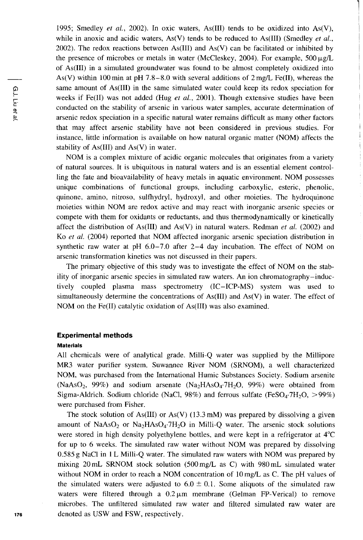1995; Smedley *et aI.,* 2002). In oxic waters, As(II1) tends to be oxidized into As(V), while in anoxic and acidic waters, As(V) tends to be reduced to As(II1) (Smedley *et aI.,* 2002). The redox reactions between As(III) and As(V) can be facilitated or inhibited by the presence of microbes or metals in water (McCleskey, 2004). For example,  $500 \mu g/L$ of As(lII) in a simulated groundwater was found to be almost completely oxidized into As(V) within 100 min at pH 7.8-8.0 with several additions of  $2 \text{ mg/L}$  Fe(II), whereas the same amount of As(lII) in the same simulated water could keep its redox speciation for weeks if Fe(II) was not added (Hug *et al.,* 2001). Though extensive studies have been conducted on the stability of arsenic in various water samples, accurate determination of arsenic redox speciation in a specific natural water remains difficult as many other factors that may affect arsenic stability have not been considered in previous studies. For instance, little information is available on how natural organic matter (NOM) affects the stability of  $As(III)$  and  $As(V)$  in water.

NOM is a complex mixture of acidic organic molecules that originates from a variety of natural sources. It is ubiquitous in natural waters and is an essential element controlling the fate and bioavailability of heavy metals in aquatic environment. NOM possesses unique combinations of functional groups, including carboxylic, esteric, phenolic, quinone, amino, nitroso, sulfhydryl, hydroxyl, and other moieties. The hydroquinone moieties within NOM are redox active and may react with inorganic arsenic species or compete with them for oxidants or reductants, and thus thermodynamically or kinetically affect the distribution of As(lII) and As(V) in natural waters. Redman *et al.* (2002) and Ko *et al.* (2004) reported that NOM affected inorganic arsenic speciation distribution in synthetic raw water at pH  $6.0-7.0$  after 2-4 day incubation. The effect of NOM on arsenic transformation kinetics was not discussed in their papers.

The primary objective of this study was to investigate the effect of NOM on the stability of inorganic arsenic species in simulated raw waters. An ion chromatography-inductively coupled plasma mass spectrometry (IC-ICP-MS) system was used to simultaneously determine the concentrations of  $As(III)$  and  $As(V)$  in water. The effect of NOM on the Fe(II) catalytic oxidation of As(lII) was also examined.

# **Experimental methods**

#### **Materials**

All chemicals were of analytical grade. Milli-Q water was supplied by the Millipore MR3 water purifier system. Suwannee River NOM (SRNOM), a well characterized NOM, was purchased from the International Humic Substances Society. Sodium arsenite  $(NaAsO<sub>2</sub>, 99%)$  and sodium arsenate  $(Na<sub>2</sub>HAsO<sub>4</sub>·7H<sub>2</sub>O, 99%)$  were obtained from Sigma-Aldrich. Sodium chloride (NaCl, 98%) and ferrous sulfate (FeSO<sub>4</sub>.7H<sub>2</sub>O, >99%) were purchased from Fisher.

The stock solution of As(III) or As(V) (13.3 mM) was prepared by dissolving a given amount of NaAsO<sub>2</sub> or Na<sub>2</sub>HAsO<sub>4</sub>.7H<sub>2</sub>O in Milli-O water. The arsenic stock solutions were stored in high density polyethylene bottles, and were kept in a refrigerator at 4°C for up to 6 weeks. The simulated raw water without NOM was prepared by dissolving 0.585 g NaCI in I L Milli-Q water. The simulated raw waters with NOM was prepared by mixing 20 mL SRNOM stock solution (500 mg/L as C) with 980 mL simulated water without NOM in order to reach a NOM concentration of 10 mg/L as C. The pH values of the simulated waters were adjusted to  $6.0 \pm 0.1$ . Some aliquots of the simulated raw waters were filtered through a  $0.2 \mu m$  membrane (Gelman FP-Verical) to remove microbes. The unfiltered simulated raw water and filtered simulated raw water are denoted as USW and FSW, respectively.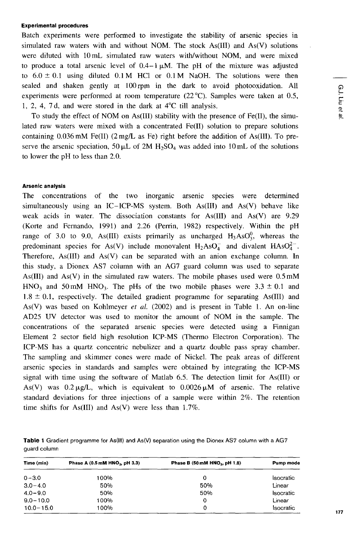# GJ. Liu et al

# Experimental procedures

Batch experiments were performed to investigate the stability of arsenic species in simulated raw waters with and without NOM. The stock  $As(III)$  and  $As(V)$  solutions were diluted with 10 mL simulated raw waters with/without NOM, and were mixed to produce a total arsenic level of  $0.4-1 \mu M$ . The pH of the mixture was adjusted to  $6.0 \pm 0.1$  using diluted  $0.1 M$  HCl or  $0.1 M$  NaOH. The solutions were then sealed and shaken gently at 100 rpm in the dark to avoid photooxidation. All experiments were performed at room temperature (22 $^{\circ}$ C). Samples were taken at 0.5, 1, 2, 4, 7 d, and were stored in the dark at 4°C till analysis.

To study the effect of NOM on As(I1I) stability with the presence of Fe(II), the simulated raw waters were mixed with a concentrated Fe(II) solution to prepare solutions containing  $0.036$  mM Fe(II)  $(2 \text{ mg/L as Fe})$  right before the addition of As(III). To preserve the arsenic speciation,  $50 \mu L$  of 2M H<sub>2</sub>SO<sub>4</sub> was added into 10 mL of the solutions to lower the pH to less than 2.0.

#### Arsenic analysis

The concentrations of the two inorganic arsenic species were determined simultaneously using an IC-ICP-MS system. Both As(III) and As(V) behave like weak acids in water. The dissociation constants for  $As(III)$  and  $As(V)$  are 9.29 (Korte and Fernando, 1991) and 2.26 (Perrin, 1982) respectively. Within the pH range of 3.0 to 9.0, As(III) exists primarily as uncharged  $H_3AsO_3^0$ , whereas the predominant species for As(V) include monovalent  $H_2AsO<sub>4</sub><sup>-</sup>$  and divalent  $HASO<sub>4</sub><sup>2</sup>$ . Therefore, As(I1I) and As(V) can be separated with an anion exchange column. In this study, a Dionex AS7 column with an AG7 guard column was used to separate As(III) and As(V) in the simulated raw waters. The mobile phases used were  $0.5 \text{ mM}$ HNO<sub>3</sub> and 50 mM HNO<sub>3</sub>. The pHs of the two mobile phases were  $3.3 \pm 0.1$  and  $1.8 \pm 0.1$ , respectively. The detailed gradient programme for separating As(III) and As(V) was based on Kohlmeyer *et al.* (2002) and is present in Table 1. An on-line AD25 UV detector was used to monitor the amount of NOM in the sample. The concentrations of the separated arsenic species were detected using a Finnigan Element 2 sector field high resolution ICP-MS (Thermo Electron Corporation). The ICP-MS has a quartz concentric nebulizer and a quartz double pass spray chamber. The sampling and skimmer cones were made of Nickel. The peak areas of different arsenic species in standards and samples were obtained by integrating the ICP-MS signal with time using the software of Matlab 6.5. The detection limit for As(I1I) or As(V) was  $0.2 \mu g/L$ , which is equivalent to  $0.0026 \mu M$  of arsenic. The relative standard deviations for three injections of a sample were within 2%. The retention time shifts for As(III) and As(V) were less than  $1.7\%$ .

Table 1 Gradient programme for As(III) and As(V) separation using the Dionex AS7 column with a AG7 guard column

| Time (min)    | Phase A $(0.5 \text{ mM HNO}_3, \text{ pH } 3.3)$ | Phase B $(50 \text{ mM HNO}_3, \text{ pH } 1.8)$ | Pump mode        |
|---------------|---------------------------------------------------|--------------------------------------------------|------------------|
| $0 - 3.0$     | 100%                                              | 0                                                | <b>Isocratic</b> |
| $3.0 - 4.0$   | 50%                                               | 50%                                              | Linear           |
| $4.0 - 9.0$   | 50%                                               | 50%                                              | <b>Isocratic</b> |
| $9.0 - 10.0$  | 100%                                              | 0                                                | Linear           |
| $10.0 - 15.0$ | 100%                                              | 0                                                | <b>Isocratic</b> |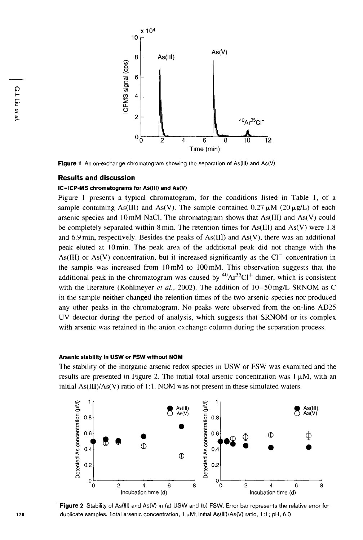

**Figure 1** Anion-exchange chromatogram showing the separation of As(lll) and As(V)

#### **Results and discussion**

# **IC-ICP-MS chromatograms for As(lII) and As(V)**

Figure I presents a typical chromatogram, for the conditions listed in Table 1, of a sample containing As(III) and As(V). The sample contained  $0.27 \mu \text{M}$  (20  $\mu$ g/L) of each arsenic species and  $10 \text{ mM }$  NaCl. The chromatogram shows that As(III) and As(V) could be completely separated within 8 min. The retention times for As(III) and As(V) were 1.8 and 6.9 min, respectively. Besides the peaks of  $As(III)$  and  $As(V)$ , there was an additional peak eluted at 10 min. The peak area of the additional peak did not change with the As(III) or As(V) concentration, but it increased significantly as the  $Cl^-$  concentration in the sample was increased from 10 mM to 100 mM. This observation suggests that the additional peak in the chromatogram was caused by  ${}^{40}Ar^{35}Cl^+$  dimer, which is consistent with the literature (Kohlmeyer *et aI.,* 2002). The addition of 10-50 mg/L SRNOM as C in the sample neither changed the retention times of the two arsenic species nor produced any other peaks in the chromatogram. No peaks were observed from the on-line AD25 UV detector during the period of analysis, which suggests that SRNOM or its complex with arsenic was retained in the anion exchange column during the separation process.

#### **Arsenic stability in USW or FSW without NOM**

The stability of the inorganic arsenic redox species in USW or FSW was examined and the results are presented in Figure 2. The initial total arsenic concentration was  $1 \mu M$ , with an initial  $As(III)/As(V)$  ratio of 1:1. NOM was not present in these simulated waters.



**Figure 2** Stability of As(lll) and As(V) in (a) USW and (b) FSW. Error bar represents the relative error for duplicate samples. Total arsenic concentration, 1  $\mu$ M; Initial As(III)/As(V) ratio, 1:1; pH, 6.0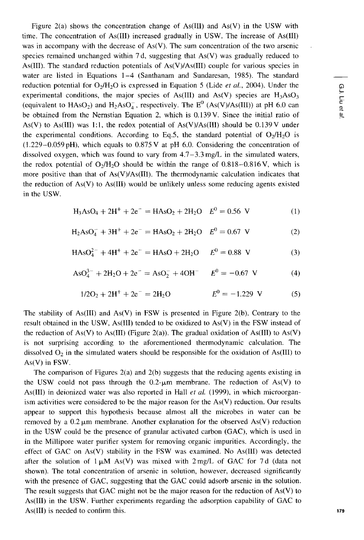GJ Liu et al

Figure 2(a) shows the concentration change of As(III) and As(V) in the USW with time. The concentration of As(lII) increased gradually in USW. The increase of As(lII) was in accompany with the decrease of As(V). The sum concentration of the two arsenic species remained unchanged within 7 d, suggesting that As(V) was gradually reduced to As(II1). The standard reduction potentials of As(V)/As(II1) couple for various species in water are listed in Equations 1-4 (Santhanam and Sundaresan, 1985). The standard reduction potential for  $O_2/H_2O$  is expressed in Equation 5 (Lide *et al.*, 2004). Under the experimental conditions, the major species of As(III) and As(V) species are  $H_3ASO_3$ (equivalent to  $HASO<sub>2</sub>$ ) and  $H<sub>2</sub>AsO<sub>4</sub><sup>-</sup>$ , respectively. The E<sup>0</sup> (As(V)/As(III)) at pH 6.0 can be obtained from the Nemstian Equation 2, which is 0.139 V. Since the initial ratio of As(V) to As(III) was 1:1, the redox potential of As(V)/As(III) should be 0.139 V under the experimental conditions. According to Eq.5, the standard potential of  $O_2/H_2O$  is  $(1.229 - 0.059 \text{ pH})$ , which equals to  $0.875 \text{ V}$  at pH 6.0. Considering the concentration of dissolved oxygen, which was found to vary from  $4.7 - 3.3$  mg/L in the simulated waters, the redox potential of  $O_2/H_2O$  should be within the range of  $0.818-0.816$  V, which is more positive than that of As(V)/As(III). The thermodynamic calculation indicates that the reduction of As(V) to As(II1) would be unlikely unless some reducing agents existed in the USW.

$$
H_3AsO_4 + 2H^+ + 2e^- = HAsO_2 + 2H_2O \t E^0 = 0.56 \t V \t (1)
$$

$$
H_2AsO_4^- + 3H^+ + 2e^- = HAsO_2 + 2H_2O \t E^0 = 0.67 \t V \t (2)
$$

$$
HAsO42- + 4H+ + 2e- = HAsO + 2H2O \t E0 = 0.88 V \t(3)
$$

$$
AsO43- + 2H2O + 2e- = AsO2- + 4OH- \t E0 = -0.67 \t V \t (4)
$$

$$
1/2O_2 + 2H^+ + 2e^- = 2H_2O \qquad \qquad E^0 = -1.229 \text{ V} \tag{5}
$$

The stability of As(III) and As(V) in FSW is presented in Figure 2(b). Contrary to the result obtained in the USW, As(lII) tended to be oxidized to As(V) in the FSW instead of the reduction of As(V) to As(III) (Figure 2(a)). The gradual oxidation of As(III) to As(V) is not surprising according to the aforementioned thermodynamic calculation. The dissolved  $O<sub>2</sub>$  in the simulated waters should be responsible for the oxidation of As(III) to As(V) in FSW.

The comparison of Figures 2(a) and 2(b) suggests that the reducing agents existing in the USW could not pass through the  $0.2$ - $\mu$ m membrane. The reduction of As(V) to As(III) in deionized water was also reported in Hall *et al.* (1999), in which microorganism activities were considered to be the major reason for the As(V) reduction. Our results appear to support this hypothesis because almost all the microbes in water can be removed by a  $0.2 \mu m$  membrane. Another explanation for the observed As(V) reduction in the USW could be the presence of granular activated carbon (GAC), which is used in in the Millipore water purifier system for removing organic impurities. Accordingly, the effect of GAC on As(V) stability in the FSW was examined. No As(II1) was detected after the solution of  $1\mu$ M As(V) was mixed with  $2 \text{ mg/L}$  of GAC for 7d (data not shown). The total concentration of arsenic in solution, however, decreased significantly with the presence of GAC, suggesting that the GAC could adsorb arsenic in the solution. The result suggests that GAC might not be the major reason for the reduction of As(V) to As(II1) in the USW. Further experiments regarding the adsorption capability of GAC to As(III) is needed to confirm this. **179 179**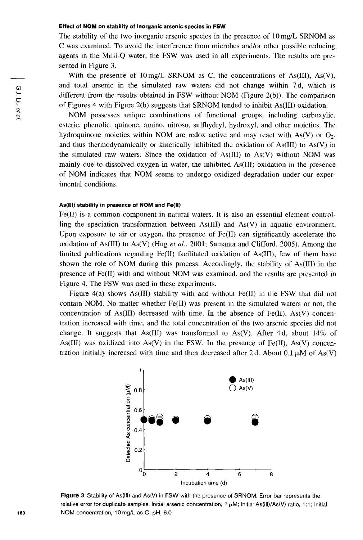#### Effect of NOM on stability of inorganic arsenic species in FSW

The stability of the two inorganic arsenic species in the presence of 10 mg/L SRNOM as C was examined. To avoid the interference from microbes and/or other possible reducing agents in the Milli-Q water, the FSW was used in all experiments. The results are presented in Figure 3.

With the presence of 10 mg/L SRNOM as C, the concentrations of As(III), As(V), and total arsenic in the simulated raw waters did not change within 7 d, which is different from the results obtained in  $FSW$  without NOM (Figure 2(b)). The comparison of Figures 4 with Figure 2(b) suggests that SRNOM tended to inhibit As(III) oxidation.

NOM possesses unique combinations of functional groups, including carboxylic, esteric, phenolic, quinone, amino, nitroso, sulfhydryl, hydroxyl, and other moieties. The hydroquinone moieties within NOM are redox active and may react with As(V) or  $O<sub>2</sub>$ , and thus thermodynamically or kinetically inhibited the oxidation of  $As(III)$  to  $As(V)$  in the simulated raw waters. Since the oxidation of  $As(III)$  to  $As(V)$  without NOM was mainly due to dissolved oxygen in water, the inhibited As(III) oxidation in the presence of NOM indicates that NOM seems to undergo oxidized degradation under our experimental conditions.

#### As(lII) stability in presence of NOM and Fe(l!)

Fe(II) is a common component in natural waters. It is also an essential element controlling the speciation transformation between As(III) and As(V) in aquatic environment. Upon exposure to air or oxygen, the presence of Fe(II) can significantly accelerate the oxidation of As(III) to As(V) (Hug *et ai.,* 2001; Samanta and Clifford, 2005). Among the limited publications regarding Fe(II) facilitated oxidation of As(III), few of them have shown the role of NOM during this process. Accordingly, the stability of As(III) in the presence of Fe(II) with and without NOM was examined, and the results are presented in Figure 4. The FSW was used in these experiments.

Figure  $4(a)$  shows As(III) stability with and without Fe(II) in the FSW that did not contain NOM. No matter whether  $Fe(II)$  was present in the simulated waters or not, the concentration of As(III) decreased with time. In the absence of  $Fe(II)$ , As(V) concentration increased with time, and the total concentration of the two arsenic species did not change. It suggests that As(III) was transformed to As(V). After 4d, about  $14\%$  of As(III) was oxidized into  $As(V)$  in the FSW. In the presence of Fe(II), As(V) concentration initially increased with time and then decreased after 2d. About 0.1  $\mu$ M of As(V)



Figure 3 Stability of As(III) and As(V) in FSW with the presence of SRNOM. Error bar represents the relative error for duplicate samples. Initial arsenic concentration,  $1 \mu M$ ; Initial As(III)/As(V) ratio, 1:1; Initial NOM concentration, 10 mg/L as C; pH, 6.0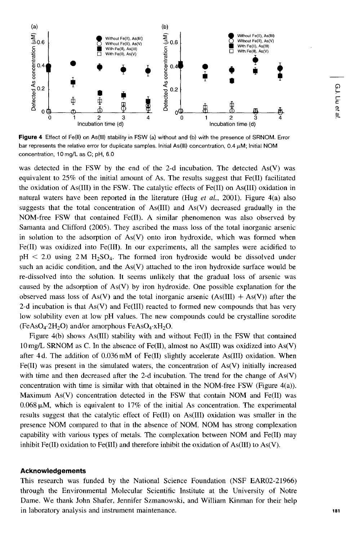

**Figure 4** Effect of Fe(II) on As(III) stability in FSW (a) without and (b) with the presence of SRNOM. Error bar represents the relative error for duplicate samples. Initial As(III) concentration, 0.4  $\mu$ M; Initial NOM concentration, 10 mg/L as C; pH, 6.0

was detected in the FSW by the end of the 2-d incubation. The detected As(V) was equivalent to  $25\%$  of the initial amount of As. The results suggest that Fe(II) facilitated the oxidation of As(III) in the FSW. The catalytic effects of Fe(II) on As(III) oxidation in natural waters have been reported in the literature (Hug *et ai.,* 2001). Figure 4(a) also suggests that the total concentration of  $As(III)$  and  $As(V)$  decreased gradually in the NOM-free FSW that contained Fe(II). A similar phenomenon was also observed by Samanta and Clifford (2005). They ascribed the mass loss of the total inorganic arsenic in solution to the adsorption of As(V) onto iron hydroxide, which was formed when Fe(II) was oxidized into Fe(III). **In** our experiments, all the samples were acidified to  $pH < 2.0$  using 2 M H<sub>2</sub>SO<sub>4</sub>. The formed iron hydroxide would be dissolved under such an acidic condition, and the As(V) attached to the iron hydroxide surface would be re-dissolved into the solution. It seems unlikely that the gradual loss of arsenic was caused by the adsorption of As(V) by iron hydroxide. One possible explanation for the observed mass loss of As(V) and the total inorganic arsenic (As(III) + As(V)) after the 2-d incubation is that  $As(V)$  and  $Fe(III)$  reacted to formed new compounds that has very low solubility even at low pH values. The new compounds could be crystalline sorodite (FeAsO<sub>4</sub> $\cdot$ 2H<sub>2</sub>O) and/or amorphous FeAsO<sub>4</sub> $\cdot$ xH<sub>2</sub>O.

Figure 4(b) shows As(III) stability with and without Fe(II) in the FSW that contained 10 mg/L SRNOM as C. **In** the absence of Fe(II), almost no As(lII) was oxidized into As(V) after 4 d. The addition of 0.036 mM of Fe(II) slightly accelerate As(III) oxidation. When Fe(II) was present in the simulated waters, the concentration of As(V) initially increased with time and then decreased after the 2-d incubation. The trend for the change of As(V) concentration with time is similar with that obtained in the NOM-free FSW (Figure  $4(a)$ ). Maximum As(V) concentration detected in the FSW that contain NOM and Fe(II) was  $0.068 \mu M$ , which is equivalent to 17% of the initial As concentration. The experimental results suggest that the catalytic effect of Fe(II) on As(III) oxidation was smaller in the presence NOM compared to that in the absence of NOM. NOM has strong complexation capability with various types of metals. The complexation between NOM and Fe(II) may inhibit Fe(II) oxidation to Fe(III) and therefore inhibit the oxidation of As(III) to As(V).

# **Acknowledgements**

This research was funded by the National Science Foundation (NSF EAR02-2l966) through the Environmental Molecular Scientific Institute at the University of Notre Dame. We thank John Shafer, Jennifer Szmanowski, and William Kinman for their help in laboratory analysis and instrument maintenance. **<sup>181</sup>**